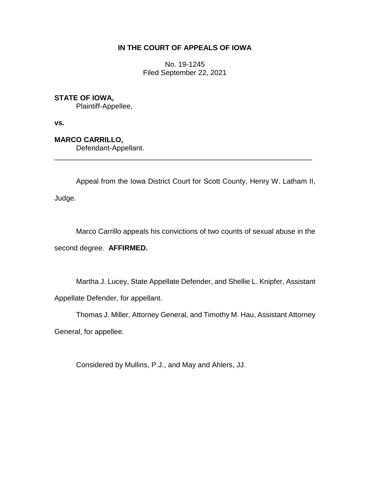# **IN THE COURT OF APPEALS OF IOWA**

No. 19-1245 Filed September 22, 2021

# **STATE OF IOWA,**

Plaintiff-Appellee,

**vs.**

**MARCO CARRILLO,**

Defendant-Appellant.

Appeal from the Iowa District Court for Scott County, Henry W. Latham II, Judge.

\_\_\_\_\_\_\_\_\_\_\_\_\_\_\_\_\_\_\_\_\_\_\_\_\_\_\_\_\_\_\_\_\_\_\_\_\_\_\_\_\_\_\_\_\_\_\_\_\_\_\_\_\_\_\_\_\_\_\_\_\_\_\_\_

Marco Carrillo appeals his convictions of two counts of sexual abuse in the second degree. **AFFIRMED.**

Martha J. Lucey, State Appellate Defender, and Shellie L. Knipfer, Assistant Appellate Defender, for appellant.

Thomas J. Miller, Attorney General, and Timothy M. Hau, Assistant Attorney

General, for appellee.

Considered by Mullins, P.J., and May and Ahlers, JJ.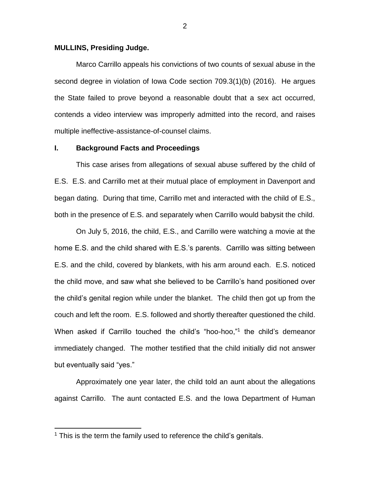#### **MULLINS, Presiding Judge.**

Marco Carrillo appeals his convictions of two counts of sexual abuse in the second degree in violation of Iowa Code section 709.3(1)(b) (2016). He argues the State failed to prove beyond a reasonable doubt that a sex act occurred, contends a video interview was improperly admitted into the record, and raises multiple ineffective-assistance-of-counsel claims.

#### **I. Background Facts and Proceedings**

This case arises from allegations of sexual abuse suffered by the child of E.S. E.S. and Carrillo met at their mutual place of employment in Davenport and began dating. During that time, Carrillo met and interacted with the child of E.S., both in the presence of E.S. and separately when Carrillo would babysit the child.

On July 5, 2016, the child, E.S., and Carrillo were watching a movie at the home E.S. and the child shared with E.S.'s parents. Carrillo was sitting between E.S. and the child, covered by blankets, with his arm around each. E.S. noticed the child move, and saw what she believed to be Carrillo's hand positioned over the child's genital region while under the blanket. The child then got up from the couch and left the room. E.S. followed and shortly thereafter questioned the child. When asked if Carrillo touched the child's "hoo-hoo,"<sup>1</sup> the child's demeanor immediately changed. The mother testified that the child initially did not answer but eventually said "yes."

Approximately one year later, the child told an aunt about the allegations against Carrillo. The aunt contacted E.S. and the Iowa Department of Human

 $\overline{a}$ 

 $1$  This is the term the family used to reference the child's genitals.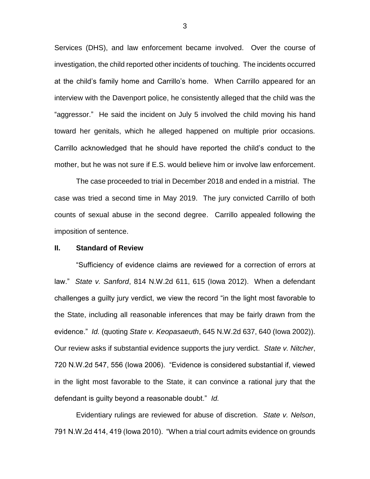Services (DHS), and law enforcement became involved. Over the course of investigation, the child reported other incidents of touching. The incidents occurred at the child's family home and Carrillo's home. When Carrillo appeared for an interview with the Davenport police, he consistently alleged that the child was the "aggressor." He said the incident on July 5 involved the child moving his hand toward her genitals, which he alleged happened on multiple prior occasions. Carrillo acknowledged that he should have reported the child's conduct to the mother, but he was not sure if E.S. would believe him or involve law enforcement.

The case proceeded to trial in December 2018 and ended in a mistrial. The case was tried a second time in May 2019. The jury convicted Carrillo of both counts of sexual abuse in the second degree. Carrillo appealed following the imposition of sentence.

## **II. Standard of Review**

"Sufficiency of evidence claims are reviewed for a correction of errors at law." *State v. Sanford*, 814 N.W.2d 611, 615 (Iowa 2012). When a defendant challenges a guilty jury verdict, we view the record "in the light most favorable to the State, including all reasonable inferences that may be fairly drawn from the evidence." *Id.* (quoting *State v. Keopasaeuth*, 645 N.W.2d 637, 640 (Iowa 2002)). Our review asks if substantial evidence supports the jury verdict. *State v. Nitcher*, 720 N.W.2d 547, 556 (Iowa 2006). "Evidence is considered substantial if, viewed in the light most favorable to the State, it can convince a rational jury that the defendant is guilty beyond a reasonable doubt." *Id.*

Evidentiary rulings are reviewed for abuse of discretion. *State v. Nelson*, 791 N.W.2d 414, 419 (Iowa 2010). "When a trial court admits evidence on grounds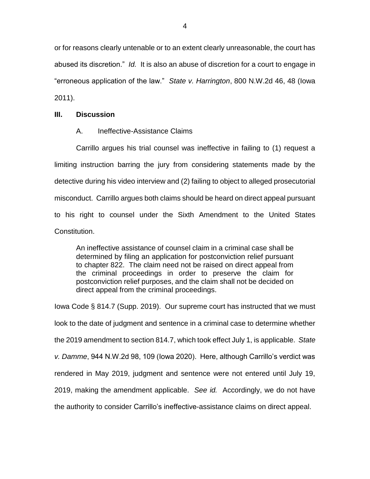or for reasons clearly untenable or to an extent clearly unreasonable, the court has abused its discretion." *Id.* It is also an abuse of discretion for a court to engage in "erroneous application of the law." *State v. Harrington*, 800 N.W.2d 46, 48 (Iowa 2011).

## **III. Discussion**

## A. Ineffective-Assistance Claims

Carrillo argues his trial counsel was ineffective in failing to (1) request a limiting instruction barring the jury from considering statements made by the detective during his video interview and (2) failing to object to alleged prosecutorial misconduct. Carrillo argues both claims should be heard on direct appeal pursuant to his right to counsel under the Sixth Amendment to the United States Constitution.

An ineffective assistance of counsel claim in a criminal case shall be determined by filing an application for postconviction relief pursuant to chapter 822. The claim need not be raised on direct appeal from the criminal proceedings in order to preserve the claim for postconviction relief purposes, and the claim shall not be decided on direct appeal from the criminal proceedings.

Iowa Code § 814.7 (Supp. 2019). Our supreme court has instructed that we must look to the date of judgment and sentence in a criminal case to determine whether the 2019 amendment to section 814.7, which took effect July 1, is applicable. *State v. Damme*, 944 N.W.2d 98, 109 (Iowa 2020). Here, although Carrillo's verdict was rendered in May 2019, judgment and sentence were not entered until July 19, 2019, making the amendment applicable. *See id.* Accordingly, we do not have the authority to consider Carrillo's ineffective-assistance claims on direct appeal.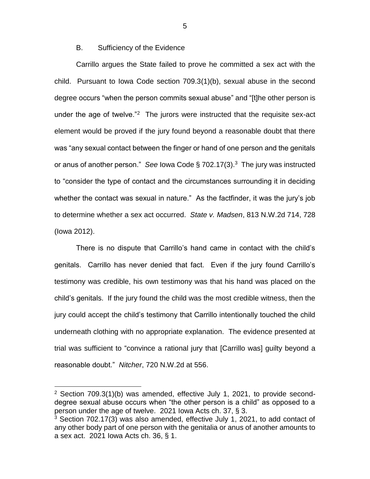## B. Sufficiency of the Evidence

Carrillo argues the State failed to prove he committed a sex act with the child. Pursuant to Iowa Code section 709.3(1)(b), sexual abuse in the second degree occurs "when the person commits sexual abuse" and "[t]he other person is under the age of twelve."<sup>2</sup> The jurors were instructed that the requisite sex-act element would be proved if the jury found beyond a reasonable doubt that there was "any sexual contact between the finger or hand of one person and the genitals or anus of another person." See lowa Code § 702.17(3).<sup>3</sup> The jury was instructed to "consider the type of contact and the circumstances surrounding it in deciding whether the contact was sexual in nature." As the factfinder, it was the jury's job to determine whether a sex act occurred. *State v. Madsen*, 813 N.W.2d 714, 728 (Iowa 2012).

There is no dispute that Carrillo's hand came in contact with the child's genitals. Carrillo has never denied that fact. Even if the jury found Carrillo's testimony was credible, his own testimony was that his hand was placed on the child's genitals. If the jury found the child was the most credible witness, then the jury could accept the child's testimony that Carrillo intentionally touched the child underneath clothing with no appropriate explanation. The evidence presented at trial was sufficient to "convince a rational jury that [Carrillo was] guilty beyond a reasonable doubt." *Nitcher*, 720 N.W.2d at 556.

 $\overline{a}$ 

5

<sup>2</sup> Section 709.3(1)(b) was amended, effective July 1, 2021, to provide seconddegree sexual abuse occurs when "the other person is a child" as opposed to a person under the age of twelve. 2021 Iowa Acts ch. 37, § 3.

<sup>&</sup>lt;sup>3</sup> Section 702.17(3) was also amended, effective July 1, 2021, to add contact of any other body part of one person with the genitalia or anus of another amounts to a sex act. 2021 Iowa Acts ch. 36, § 1.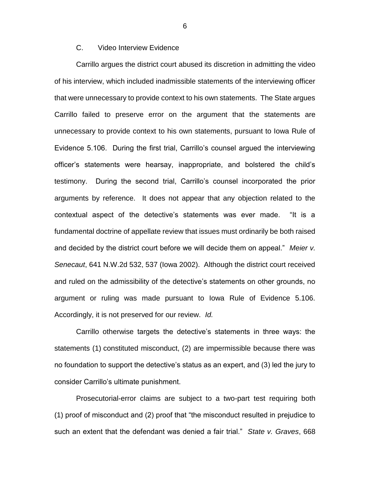# C. Video Interview Evidence

Carrillo argues the district court abused its discretion in admitting the video of his interview, which included inadmissible statements of the interviewing officer that were unnecessary to provide context to his own statements. The State argues Carrillo failed to preserve error on the argument that the statements are unnecessary to provide context to his own statements, pursuant to Iowa Rule of Evidence 5.106. During the first trial, Carrillo's counsel argued the interviewing officer's statements were hearsay, inappropriate, and bolstered the child's testimony. During the second trial, Carrillo's counsel incorporated the prior arguments by reference. It does not appear that any objection related to the contextual aspect of the detective's statements was ever made. "It is a fundamental doctrine of appellate review that issues must ordinarily be both raised and decided by the district court before we will decide them on appeal." *Meier v. Senecaut*, 641 N.W.2d 532, 537 (Iowa 2002). Although the district court received and ruled on the admissibility of the detective's statements on other grounds, no argument or ruling was made pursuant to Iowa Rule of Evidence 5.106. Accordingly, it is not preserved for our review. *Id.*

Carrillo otherwise targets the detective's statements in three ways: the statements (1) constituted misconduct, (2) are impermissible because there was no foundation to support the detective's status as an expert, and (3) led the jury to consider Carrillo's ultimate punishment.

Prosecutorial-error claims are subject to a two-part test requiring both (1) proof of misconduct and (2) proof that "the misconduct resulted in prejudice to such an extent that the defendant was denied a fair trial." *State v. Graves*, 668

6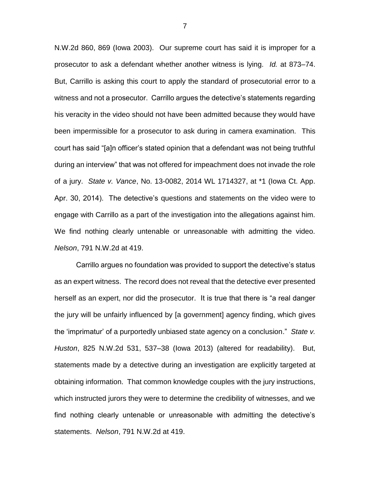N.W.2d 860, 869 (Iowa 2003). Our supreme court has said it is improper for a prosecutor to ask a defendant whether another witness is lying. *Id.* at 873–74. But, Carrillo is asking this court to apply the standard of prosecutorial error to a witness and not a prosecutor. Carrillo argues the detective's statements regarding his veracity in the video should not have been admitted because they would have been impermissible for a prosecutor to ask during in camera examination. This court has said "[a]n officer's stated opinion that a defendant was not being truthful during an interview" that was not offered for impeachment does not invade the role of a jury. *State v. Vance*, No. 13-0082, 2014 WL 1714327, at \*1 (Iowa Ct. App. Apr. 30, 2014). The detective's questions and statements on the video were to engage with Carrillo as a part of the investigation into the allegations against him. We find nothing clearly untenable or unreasonable with admitting the video. *Nelson*, 791 N.W.2d at 419.

Carrillo argues no foundation was provided to support the detective's status as an expert witness. The record does not reveal that the detective ever presented herself as an expert, nor did the prosecutor. It is true that there is "a real danger the jury will be unfairly influenced by [a government] agency finding, which gives the 'imprimatur' of a purportedly unbiased state agency on a conclusion." *State v. Huston*, 825 N.W.2d 531, 537–38 (Iowa 2013) (altered for readability). But, statements made by a detective during an investigation are explicitly targeted at obtaining information. That common knowledge couples with the jury instructions, which instructed jurors they were to determine the credibility of witnesses, and we find nothing clearly untenable or unreasonable with admitting the detective's statements. *Nelson*, 791 N.W.2d at 419.